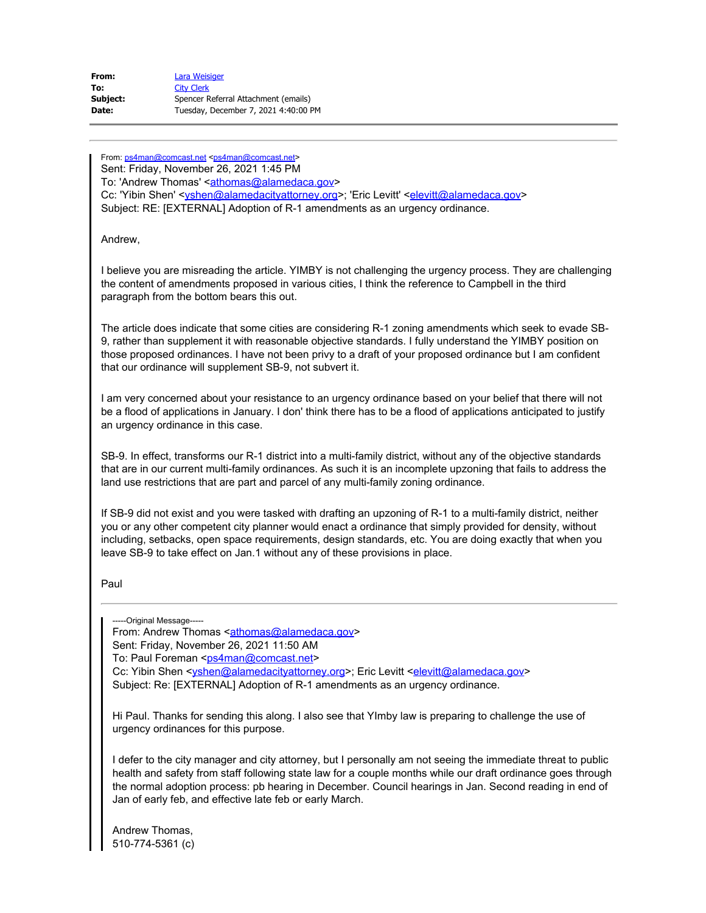| From:    | Lara Weisiger                        |
|----------|--------------------------------------|
| To:      | <b>City Clerk</b>                    |
| Subject: | Spencer Referral Attachment (emails) |
| Date:    | Tuesday, December 7, 2021 4:40:00 PM |

From: [ps4man@comcast.net](mailto:ps4man@comcast.net) [<ps4man@comcast.net](mailto:ps4man@comcast.net)> Sent: Friday, November 26, 2021 1:45 PM To: 'Andrew Thomas' <**athomas@alamedaca.gov>** Cc: 'Yibin Shen' <vshen@alamedacityattorney.org>; 'Eric Levitt' [<elevitt@alamedaca.gov](mailto:elevitt@alamedaca.gov)> Subject: RE: [EXTERNAL] Adoption of R-1 amendments as an urgency ordinance.

Andrew,

I believe you are misreading the article. YIMBY is not challenging the urgency process. They are challenging the content of amendments proposed in various cities, I think the reference to Campbell in the third paragraph from the bottom bears this out.

The article does indicate that some cities are considering R-1 zoning amendments which seek to evade SB-9, rather than supplement it with reasonable objective standards. I fully understand the YIMBY position on those proposed ordinances. I have not been privy to a draft of your proposed ordinance but I am confident that our ordinance will supplement SB-9, not subvert it.

I am very concerned about your resistance to an urgency ordinance based on your belief that there will not be a flood of applications in January. I don' think there has to be a flood of applications anticipated to justify an urgency ordinance in this case.

SB-9. In effect, transforms our R-1 district into a multi-family district, without any of the objective standards that are in our current multi-family ordinances. As such it is an incomplete upzoning that fails to address the land use restrictions that are part and parcel of any multi-family zoning ordinance.

If SB-9 did not exist and you were tasked with drafting an upzoning of R-1 to a multi-family district, neither you or any other competent city planner would enact a ordinance that simply provided for density, without including, setbacks, open space requirements, design standards, etc. You are doing exactly that when you leave SB-9 to take effect on Jan.1 without any of these provisions in place.

Paul

---Original Message-----

From: Andrew Thomas <**athomas@alamedaca.gov>** 

Sent: Friday, November 26, 2021 11:50 AM

To: Paul Foreman [<ps4man@comcast.net](mailto:ps4man@comcast.net)>

Cc: Yibin Shen <[yshen@alamedacityattorney.org](mailto:yshen@alamedacityattorney.org)>; Eric Levitt [<elevitt@alamedaca.gov](mailto:elevitt@alamedaca.gov)>

Subject: Re: [EXTERNAL] Adoption of R-1 amendments as an urgency ordinance.

Hi Paul. Thanks for sending this along. I also see that YImby law is preparing to challenge the use of urgency ordinances for this purpose.

I defer to the city manager and city attorney, but I personally am not seeing the immediate threat to public health and safety from staff following state law for a couple months while our draft ordinance goes through the normal adoption process: pb hearing in December. Council hearings in Jan. Second reading in end of Jan of early feb, and effective late feb or early March.

Andrew Thomas, 510-774-5361 (c)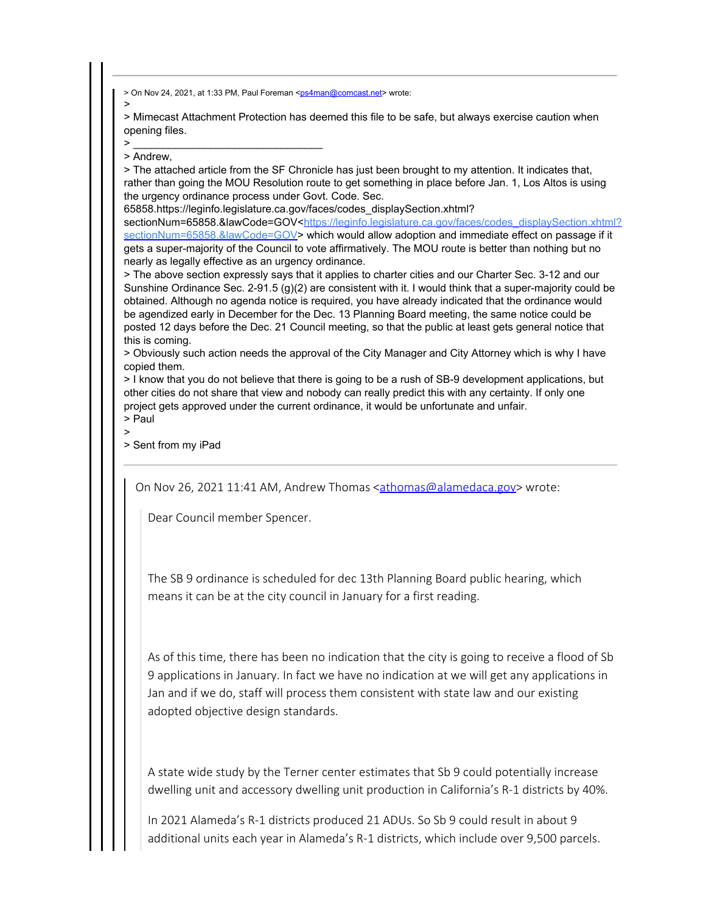> On Nov 24, 2021, at 1:33 PM, Paul Foreman [<ps4man@comcast.net](mailto:ps4man@comcast.net)> wrote:

> > Mimecast Attachment Protection has deemed this file to be safe, but always exercise caution when opening files.

 $\bm{\geq}$   $\frac{1}{\sqrt{2}}$  ,  $\frac{1}{\sqrt{2}}$  ,  $\frac{1}{\sqrt{2}}$  ,  $\frac{1}{\sqrt{2}}$  ,  $\frac{1}{\sqrt{2}}$  ,  $\frac{1}{\sqrt{2}}$  ,  $\frac{1}{\sqrt{2}}$  ,  $\frac{1}{\sqrt{2}}$  ,  $\frac{1}{\sqrt{2}}$  ,  $\frac{1}{\sqrt{2}}$  ,  $\frac{1}{\sqrt{2}}$  ,  $\frac{1}{\sqrt{2}}$  ,  $\frac{1}{\sqrt{2}}$  ,  $\frac{1}{\sqrt{2}}$  ,  $\$ > Andrew,

> The attached article from the SF Chronicle has just been brought to my attention. It indicates that, rather than going the MOU Resolution route to get something in place before Jan. 1, Los Altos is using the urgency ordinance process under Govt. Code. Sec.

65858.https://leginfo.legislature.ca.gov/faces/codes\_displaySection.xhtml? sectionNum=65858.&lawCode=GOV[<https://leginfo.legislature.ca.gov/faces/codes\\_displaySection.xhtml?](https://protect-us.mimecast.com/s/FfT4CQWBvRcn1pOtPYchh?domain=leginfo.legislature.ca.gov) [sectionNum=65858.&lawCode=GOV](https://protect-us.mimecast.com/s/FfT4CQWBvRcn1pOtPYchh?domain=leginfo.legislature.ca.gov)> which would allow adoption and immediate effect on passage if it gets a super-majority of the Council to vote affirmatively. The MOU route is better than nothing but no nearly as legally effective as an urgency ordinance.

> The above section expressly says that it applies to charter cities and our Charter Sec. 3-12 and our Sunshine Ordinance Sec. 2-91.5 (g)(2) are consistent with it. I would think that a super-majority could be obtained. Although no agenda notice is required, you have already indicated that the ordinance would be agendized early in December for the Dec. 13 Planning Board meeting, the same notice could be posted 12 days before the Dec. 21 Council meeting, so that the public at least gets general notice that this is coming.

> Obviously such action needs the approval of the City Manager and City Attorney which is why I have copied them.

> I know that you do not believe that there is going to be a rush of SB-9 development applications, but other cities do not share that view and nobody can really predict this with any certainty. If only one project gets approved under the current ordinance, it would be unfortunate and unfair. > Paul

>

> Sent from my iPad

On Nov 26, 2021 11:41 AM, Andrew Thomas [<athomas@alamedaca.gov](mailto:athomas@alamedaca.gov)> wrote:

Dear Council member Spencer.

The SB 9 ordinance is scheduled for dec 13th Planning Board public hearing, which means it can be at the city council in January for a first reading.

As of this time, there has been no indication that the city is going to receive a flood of Sb 9 applications in January. In fact we have no indication at we will get any applications in Jan and if we do, staff will process them consistent with state law and our existing adopted objective design standards.

A state wide study by the Terner center estimates that Sb 9 could potentially increase dwelling unit and accessory dwelling unit production in California's R-1 districts by 40%.

In 2021 Alameda's R-1 districts produced 21 ADUs. So Sb 9 could result in about 9 additional units each year in Alameda's R-1 districts, which include over 9,500 parcels.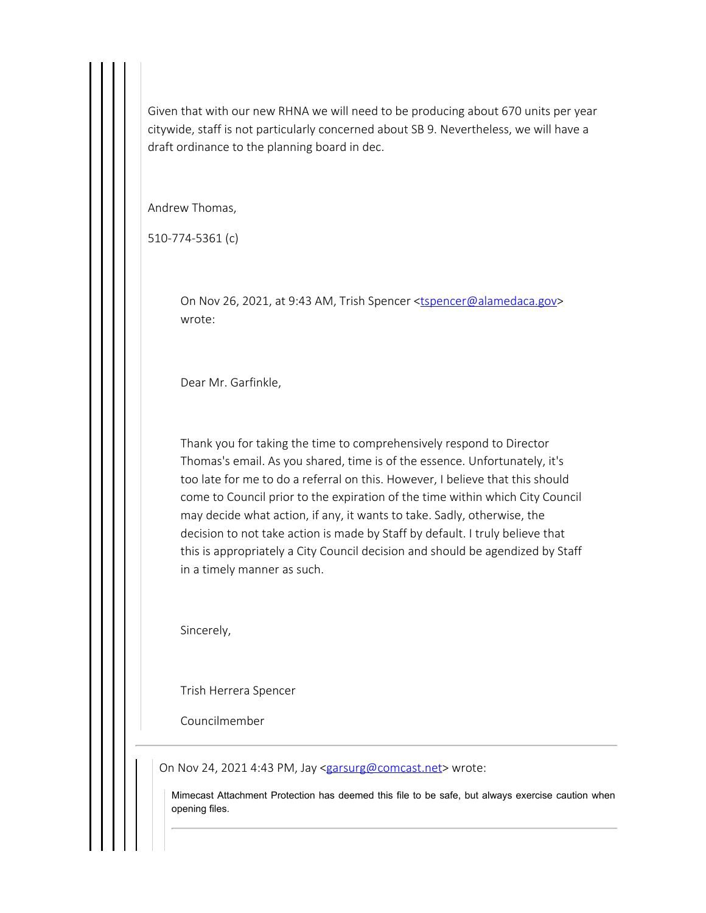Given that with our new RHNA we will need to be producing about 670 units per year citywide, staff is not particularly concerned about SB 9. Nevertheless, we will have a draft ordinance to the planning board in dec.

Andrew Thomas,

510-774-5361 (c)

On Nov 26, 2021, at 9:43 AM, Trish Spencer [<tspencer@alamedaca.gov](mailto:tspencer@alamedaca.gov)> wrote:

Dear Mr. Garfinkle,

Thank you for taking the time to comprehensively respond to Director Thomas's email. As you shared, time is of the essence. Unfortunately, it's too late for me to do a referral on this. However, I believe that this should come to Council prior to the expiration of the time within which City Council may decide what action, if any, it wants to take. Sadly, otherwise, the decision to not take action is made by Staff by default. I truly believe that this is appropriately a City Council decision and should be agendized by Staff in a timely manner as such.

Sincerely,

Trish Herrera Spencer

Councilmember

On Nov 24, 2021 4:43 PM, Jay [<garsurg@comcast.net](mailto:garsurg@comcast.net)> wrote:

Mimecast Attachment Protection has deemed this file to be safe, but always exercise caution when opening files.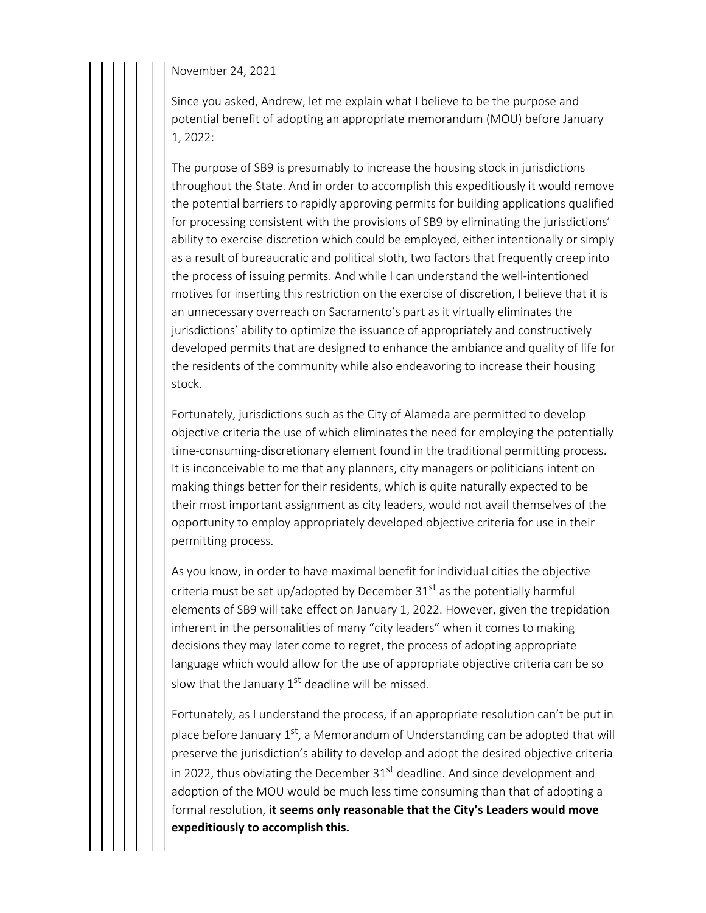November 24, 2021

Since you asked, Andrew, let me explain what I believe to be the purpose and potential benefit of adopting an appropriate memorandum (MOU) before January 1, 2022:

The purpose of SB9 is presumably to increase the housing stock in jurisdictions throughout the State. And in order to accomplish this expeditiously it would remove the potential barriers to rapidly approving permits for building applications qualified for processing consistent with the provisions of SB9 by eliminating the jurisdictions' ability to exercise discretion which could be employed, either intentionally or simply as a result of bureaucratic and political sloth, two factors that frequently creep into the process of issuing permits. And while I can understand the well-intentioned motives for inserting this restriction on the exercise of discretion, I believe that it is an unnecessary overreach on Sacramento's part as it virtually eliminates the jurisdictions' ability to optimize the issuance of appropriately and constructively developed permits that are designed to enhance the ambiance and quality of life for the residents of the community while also endeavoring to increase their housing stock.

Fortunately, jurisdictions such as the City of Alameda are permitted to develop objective criteria the use of which eliminates the need for employing the potentially time-consuming-discretionary element found in the traditional permitting process. It is inconceivable to me that any planners, city managers or politicians intent on making things better for their residents, which is quite naturally expected to be their most important assignment as city leaders, would not avail themselves of the opportunity to employ appropriately developed objective criteria for use in their permitting process.

As you know, in order to have maximal benefit for individual cities the objective criteria must be set up/adopted by December  $31<sup>st</sup>$  as the potentially harmful elements of SB9 will take effect on January 1, 2022. However, given the trepidation inherent in the personalities of many "city leaders" when it comes to making decisions they may later come to regret, the process of adopting appropriate language which would allow for the use of appropriate objective criteria can be so slow that the January  $1<sup>st</sup>$  deadline will be missed.

Fortunately, as I understand the process, if an appropriate resolution can't be put in place before January  $1<sup>st</sup>$ , a Memorandum of Understanding can be adopted that will preserve the jurisdiction's ability to develop and adopt the desired objective criteria in 2022, thus obviating the December  $31<sup>st</sup>$  deadline. And since development and adoption of the MOU would be much less time consuming than that of adopting a formal resolution, **it seems only reasonable that the City's Leaders would move expeditiously to accomplish this.**